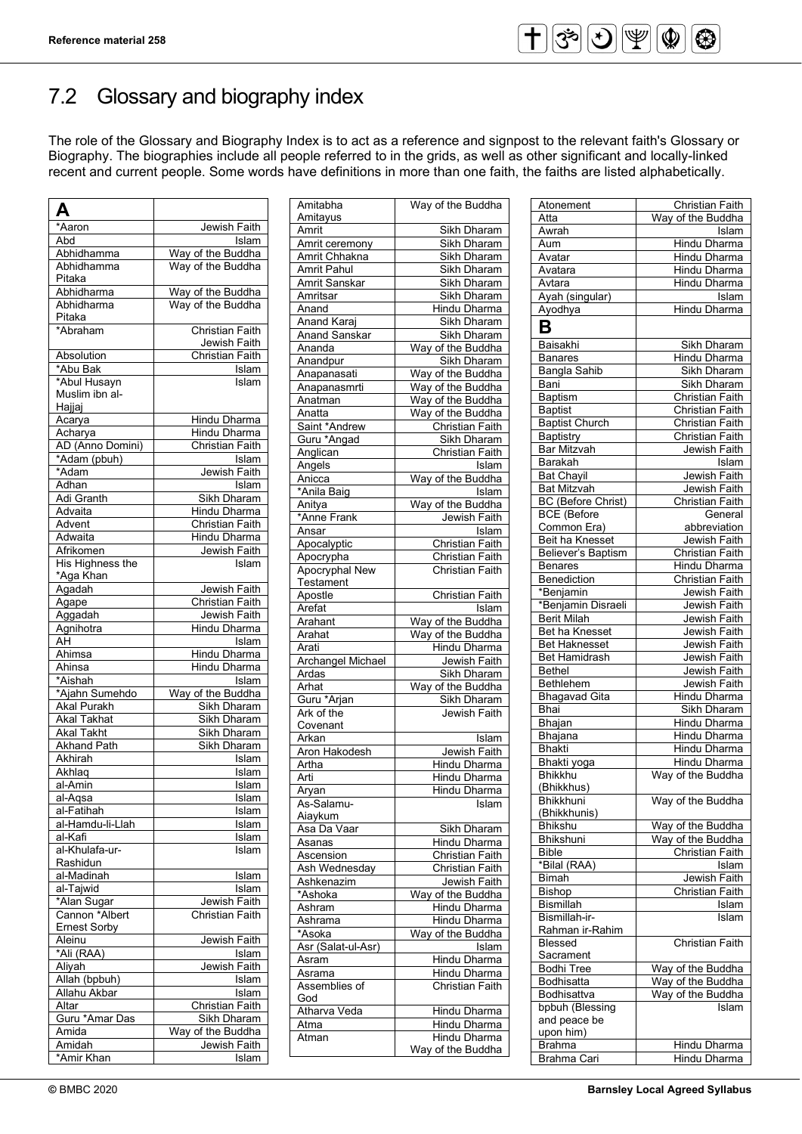### 7.2 Glossary and biography index

The role of the Glossary and Biography Index is to act as a reference and signpost to the relevant faith's Glossary or Biography. The biographies include all people referred to in the grids, as well as other significant and locally-linked recent and current people. Some words have definitions in more than one faith, the faiths are listed alphabetically.

| А                              |                                        |
|--------------------------------|----------------------------------------|
| *Aaron                         | Jewish Faith                           |
| Abd                            | Islam                                  |
| Abhidhamma                     | Way of the Buddha                      |
| Abhidhamma                     | Way of the Buddha                      |
| Pitaka                         |                                        |
| Abhidharma                     | Way of the Buddha                      |
| Abhidharma                     | Way of the Buddha                      |
| Pitaka<br>*Abraham             | <b>Christian Faith</b>                 |
|                                |                                        |
| Absolution                     | Jewish Faith<br><b>Christian Faith</b> |
| *Abu Bak                       | Islam                                  |
| *Abul Husayn                   | Islam                                  |
| Muslim ibn al-                 |                                        |
| Hajjaj                         |                                        |
| Acarya                         | Hindu Dharma                           |
| Acharya                        | Hindu Dharma                           |
| AD (Anno Domini)               | Christian Faith                        |
| *Adam (pbuh)                   | Islam                                  |
| *Adam                          | Jewish Faith                           |
| Adhan                          | Islam                                  |
| Adi Granth                     | Sikh Dharam                            |
| Advaita                        | Hindu Dharma                           |
| Advent                         | <b>Christian Faith</b>                 |
| Adwaita                        | Hindu Dharma                           |
| Afrikomen                      | Jewish Faith                           |
| His Highness the<br>*Aga Khan  | Islam                                  |
| Agadah                         | Jewish Faith                           |
| Agape                          | Christian Faith                        |
| Aggadah                        | Jewish Faith                           |
| Agnihotra                      | Hindu Dharma                           |
| AH                             | Islam                                  |
| Ahimsa                         | <b>Hindu Dharma</b>                    |
| Ahinsa                         | Hindu Dharma                           |
| *Aishah                        | Islam                                  |
| *Ajahn Sumehdo                 | Way of the Buddha                      |
| <b>Akal Purakh</b>             | Sikh Dharam                            |
| <b>Akal Takhat</b>             | Sikh Dharam                            |
| <b>Akal Takht</b>              | Sikh Dharam                            |
| <b>Akhand Path</b>             | Sikh Dharam                            |
| Akhirah                        | Islam                                  |
| Akhlaq                         | Islam                                  |
| al-Amin                        | Islam                                  |
| al-Aqsa                        | Islam                                  |
| al-Fatihah<br>al-Hamdu-li-Llah | <u> İslam</u><br>Islam                 |
| al-Kafi                        | Islam                                  |
| al-Khulafa-ur-                 | Islam                                  |
| Rashidun                       |                                        |
| al-Madinah                     | Islam                                  |
| al-Tajwid                      | Islam                                  |
| <u>*Alan Sugar</u>             | Jewish Faith                           |
| Cannon *Albert                 | Christian Faith                        |
| <b>Ernest Sorby</b>            |                                        |
| Aleinu                         | Jewish Faith                           |
| *Ali (RAA)                     | Islam                                  |
| Aliyah                         | Jewish Faith                           |
| Allah (bpbuh)                  | Islam                                  |
| Allahu Akbar                   | Islam                                  |
| Altar                          | Christian Faith                        |
| Guru *Amar Das                 | Sikh Dharam                            |
| Amida                          | Way of the Buddha                      |
| Amidah                         | Jewish Faith                           |
| *Amir Khan                     | Islam                                  |

| Amitabha                | Way of the Buddha      |
|-------------------------|------------------------|
| Amitayus                |                        |
| Amrit                   | Sikh Dharam            |
| Amrit ceremony          | Sikh Dharam            |
| Amrit Chhakna           | Sikh Dharam            |
| Amrit Pahul             | Sikh Dharam            |
| Amrit Sanskar           | Sikh Dharam            |
|                         |                        |
| Amritsar                | <b>Sikh Dharam</b>     |
| Anand                   | Hindu Dharma           |
| <b>Anand Karaj</b>      | Sikh Dharam            |
| <b>Anand Sanskar</b>    | Sikh Dharam            |
| Ananda                  | Way of the Buddha      |
| Anandpur                | Sikh Dharam            |
| Anapanasati             | Way of the Buddha      |
| Anapanasmrti            | Way of the Buddha      |
| Anatman                 | Way of the Buddha      |
| Anatta                  | Way of the Buddha      |
| Saint *Andrew           | Christian Faith        |
| Guru *Angad             | Sikh Dharam            |
| Anglican                | <b>Christian Faith</b> |
| Angels                  | Islam                  |
| Anicca                  | Way of the Buddha      |
| *Anila Baig             | Islam                  |
| Anitya                  | Way of the Buddha      |
| *Anne Frank             | Jewish Faith           |
| Ansar                   | Islam                  |
| Apocalyptic             | <b>Christian Faith</b> |
| Apocrypha               | Christian Faith        |
| Apocryphal New          | <b>Christian Faith</b> |
| Testament               |                        |
| Apostle                 | Christian Faith        |
| Arefat                  | Islam                  |
| Arahant                 | Way of the Buddha      |
| Arahat                  | Way of the Buddha      |
| Arati                   | Hindu Dharma           |
| Archangel Michael       | Jewish Faith           |
| Ardas                   | Sikh Dharam            |
| Arhat                   | Way of the Buddha      |
| <u>.</u><br>Guru *Arjan | Sikh Dharam            |
| Ark of the              | <b>Jewish Faith</b>    |
| Covenant                |                        |
| Arkan                   | Islam                  |
| Aron Hakodesh           | Jewish Faith           |
|                         | Hindu Dharma           |
| Artha<br>Arti           |                        |
|                         | Hindu Dharma           |
| Aryan                   | Hindu Dharma           |
| As-Salamu-              | Islam                  |
| Aiaykum                 |                        |
| Asa Da Vaar             | Sikh Dharam            |
| Asanas                  | <b>Hindu Dharma</b>    |
| Ascension               | Christian Faith        |
| Ash Wednesday           | <b>Christian Faith</b> |
| Ashkenazim              | Jewish Faith           |
| *Ashoka                 | Way of the Buddha      |
| Ashram                  | Hindu Dharma           |
| Ashrama                 | Hindu Dharma           |
| *Asoka                  | Way of the Buddha      |
|                         | Islam                  |
| Asr (Salat-ul-Asr)      |                        |
| Asram                   | Hindu Dharma           |
| Asrama                  | Hindu Dharma           |
| Assemblies of           | <b>Christian Faith</b> |
| God                     |                        |
| Atharva Veda            | Hindu Dharma           |
| Atma                    | Hindu Dharma           |
| Atman                   | <b>Hindu Dharma</b>    |
|                         | Way of the Buddha      |

| Atonement                 | Christian Faith        |
|---------------------------|------------------------|
| Atta                      | Way of the Buddha      |
| Awrah                     | Islam                  |
| Aum                       | Hindu Dharma           |
| Avatar                    | Hindu Dharma           |
| Avatara                   | Hindu Dharma           |
| Avtara                    |                        |
|                           | Hindu Dharma           |
| Ayah (singular)           | Islam                  |
| Ayodhya                   | Hindu Dharma           |
| В                         |                        |
| Baisakhi                  | <b>Sikh Dharam</b>     |
| <b>Banares</b>            | Hindu Dharma           |
|                           |                        |
| <b>Bangla Sahib</b>       | <b>Sikh Dharam</b>     |
| Bani                      | Sikh Dharam            |
| <b>Baptism</b>            | Christian Faith        |
| <b>Baptist</b>            | <b>Christian Faith</b> |
| <b>Baptist Church</b>     | Christian Faith        |
| <b>Baptistry</b>          | Christian Faith        |
| <b>Bar Mitzvah</b>        | Jewish Faith           |
| Barakah                   | Islam                  |
| <b>Bat Chayil</b>         | <b>Jewish Faith</b>    |
| <b>Bat Mitzvah</b>        | Jewish Faith           |
| <b>BC</b> (Before Christ) | Christian Faith        |
| <b>BCE</b> (Before        | General                |
| Common Era)               | abbreviation           |
| Beit ha Knesset           | Jewish Faith           |
| <b>Believer's Baptism</b> | <b>Christian Faith</b> |
| Benares                   | Hindu Dharma           |
|                           |                        |
| Benediction               | Christian Faith        |
| *Benjamin                 | Jewish Faith           |
| *Benjamin Disraeli        | Jewish Faith           |
| <b>Berit Milah</b>        | Jewish Faith           |
| Bet ha Knesset            | Jewish Faith           |
| <b>Bet Haknesset</b>      | Jewish Faith           |
| Bet Hamidrash             | Jewish Faith           |
| <b>Bethel</b>             | Jewish Faith           |
| <b>Bethlehem</b>          | Jewish Faith           |
| <b>Bhagavad Gita</b>      | Hindu Dharma           |
| Bhai                      | Sikh Dharam            |
| Bhajan                    | Hindu Dharma           |
| Bhajana                   | Hindu Dharma           |
| Bhakti                    | Hindu Dharma           |
| Bhakti yoga               | Hindu Dharma           |
| <b>Bhikkhu</b>            | Way of the Buddha      |
| (Bhikkhus)                |                        |
| <b>Bhikkhuni</b>          | Way of the Buddha      |
| (Bhikkhunis)              |                        |
| Bhikshu                   | Way of the Buddha      |
| <b>Bhikshuni</b>          | Way of the Buddha      |
| <b>Bible</b>              | <b>Christian Faith</b> |
| *Bilal (RAA)              | Islam                  |
|                           |                        |
| <b>Bimah</b>              | Jewish Faith           |
| Bishop                    | Christian Faith        |
| <b>Bismillah</b>          | Islam                  |
| Bismillah-ir-             | Islam                  |
| Rahman ir-Rahim           |                        |
| Blessed                   | <b>Christian Faith</b> |
| Sacrament                 |                        |
| <b>Bodhi Tree</b>         | Way of the Buddha      |
| Bodhisatta                | Way of the Buddha      |
| Bodhisattva               | Way of the Buddha      |
| bpbuh (Blessing           | Islam                  |
| and peace be              |                        |
| upon him)                 |                        |
| <b>Brahma</b>             | Hindu Dharma           |
| Brahma Cari               | Hindu Dharma           |
|                           |                        |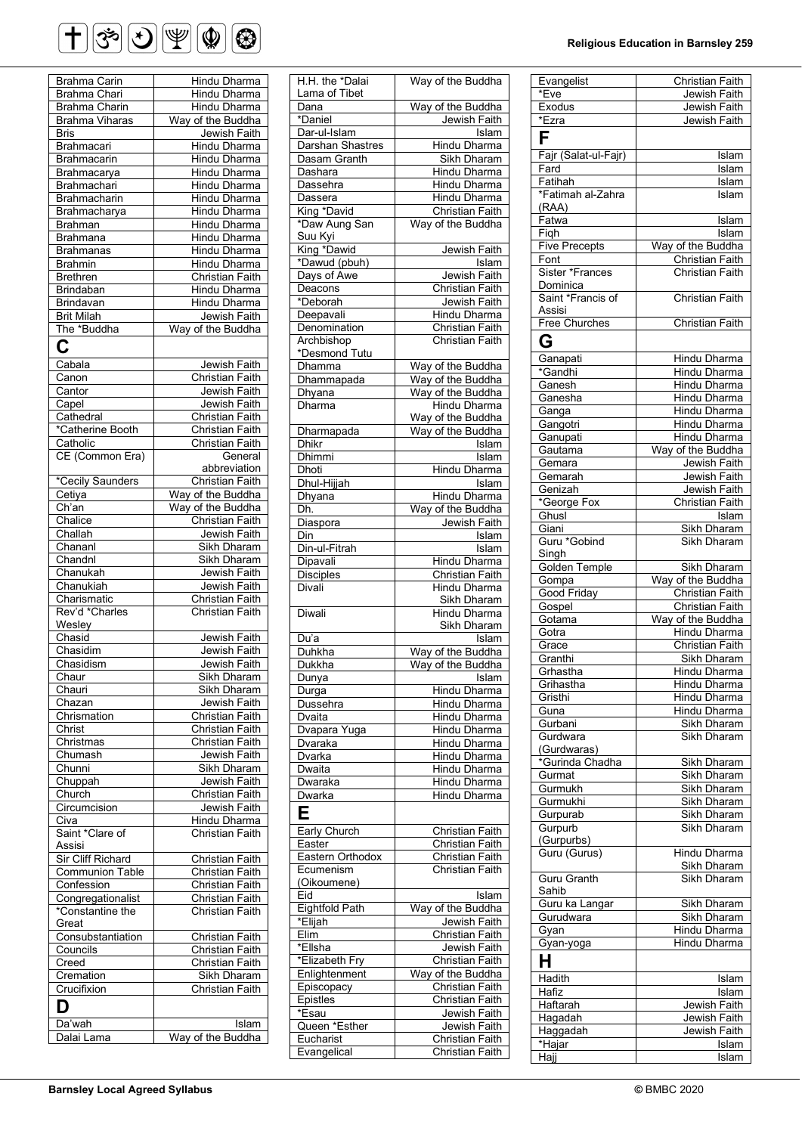# $\bigoplus \mathfrak{G} \bigotimes \mathfrak{P} \bigotimes \mathfrak{P} \bigotimes$

| Brahma Carin           |                        |
|------------------------|------------------------|
|                        | Hindu Dharma           |
| <b>Brahma Chari</b>    | <b>Hindu Dharma</b>    |
| <b>Brahma Charin</b>   | Hindu Dharma           |
| <b>Brahma Viharas</b>  | Way of the Buddha      |
| <b>Bris</b>            | Jewish Faith           |
| Brahmacari             | <b>Hindu Dharma</b>    |
| Brahmacarin            | <b>Hindu Dharma</b>    |
| Brahmacarya            | Hindu Dharma           |
| Brahmachari            | Hindu Dharma           |
| Brahmacharin           | Hindu Dharma           |
| Brahmacharya           | <b>Hindu Dharma</b>    |
| <b>Brahman</b>         | Hindu Dharma           |
| <b>Brahmana</b>        | <b>Hindu Dharma</b>    |
|                        | <b>Hindu Dharma</b>    |
| <b>Brahmanas</b>       |                        |
| <b>Brahmin</b>         | Hindu Dharma           |
| <b>Brethren</b>        | <b>Christian Faith</b> |
| Brindaban              | <b>Hindu Dharma</b>    |
| Brindavan              | Hindu Dharma           |
| <b>Brit Milah</b>      | Jewish Faith           |
| The *Buddha            | Way of the Buddha      |
|                        |                        |
|                        |                        |
| Cabala                 | Jewish Faith           |
| Canon                  | Christian Faith        |
| Cantor                 | Jewish Faith           |
| Capel                  | Jewish Faith           |
| Cathedral              | Christian Faith        |
| *Catherine Booth       | <b>Christian Faith</b> |
| Catholic               | Christian Faith        |
| CE (Common Era)        | General                |
|                        | abbreviation           |
| *Cecily Saunders       | Christian Faith        |
| Cetiya                 |                        |
|                        | Way of the Buddha      |
| Ch'an                  | Way of the Buddha      |
| Chalice                | <b>Christian Faith</b> |
| Challah                | <b>Jewish Faith</b>    |
| Chananl                | Sikh Dharam            |
| Chandnl                | Sikh Dharam            |
| Chanukah               | Jewish Faith           |
| Chanukiah              | Jewish Faith           |
| Charismatic            | <b>Christian Faith</b> |
| Rev'd *Charles         | Christian Faith        |
| Wesley                 |                        |
| Chasid                 | Jewish Faith           |
| Chasidim               | Jewish Faith           |
| Chasidism              | Jewish Faith           |
|                        |                        |
| Chaur                  | Sikh Dharam            |
| Chauri                 | Sikh Dharam            |
| Chazan                 | Jewish Faith           |
| Chrismation            | Christian Faith        |
| Christ                 | Christian Faith        |
| Christmas              | <b>Christian Faith</b> |
| Chumash                | Jewish Faith           |
| Chunni                 | Sikh Dharam            |
| Chuppah                | Jewish Faith           |
| Church                 | Christian Faith        |
| Circumcision           | Jewish Faith           |
| Civa                   | Hindu Dharma           |
| Saint *Clare of        | <b>Christian Faith</b> |
| Assisi                 |                        |
| Sir Cliff Richard      | Christian Faith        |
| <b>Communion Table</b> | Christian Faith        |
|                        | Christian Faith        |
| Confession             |                        |
| Congregationalist      | Christian Faith        |
| *Constantine the       | Christian Faith        |
| Great                  |                        |
| Consubstantiation      | Christian Faith        |
| Councils               | Christian Faith        |
| Creed                  | Christian Faith        |
| Cremation              | Sikh Dharam            |
| Crucifixion            | <b>Christian Faith</b> |
| D                      |                        |
|                        |                        |
| Da'wah                 | Islam                  |
| Dalai Lama             | Way of the Buddha      |

| H.H. the *Dalai               |                                           |
|-------------------------------|-------------------------------------------|
|                               | Way of the Buddha                         |
| Lama of Tibet                 |                                           |
| Dana                          | Way of the Buddha                         |
| *Daniel                       | <b>Jewish Faith</b>                       |
|                               |                                           |
| Dar-ul-Islam                  | Islam                                     |
| <b>Darshan Shastres</b>       | Hindu Dharma                              |
| Dasam Granth                  | Sikh Dharam                               |
| Dashara                       | Hindu Dharma                              |
|                               | <b>Hindu Dharma</b>                       |
| Dassehra                      |                                           |
| Dassera                       | Hindu Dharma                              |
| King *David<br>*Daw Aung San  | <b>Christian Faith</b>                    |
|                               | Way of the Buddha                         |
|                               |                                           |
| <u>Suu Kyi</u><br>King *Dawid |                                           |
|                               | Jewish Faith                              |
| *Dawud (pbuh)                 | Islam                                     |
| Days of Awe                   | Jewish Faith                              |
| Deacons                       | <b>Christian Faith</b>                    |
| *Deborah                      | Jewish Faith                              |
| Deepavali                     | <b>Hindu Dharma</b>                       |
|                               |                                           |
| Denomination                  | <b>Christian Faith</b>                    |
| Archbishop                    | <b>Christian Faith</b>                    |
| *Desmond Tutu                 |                                           |
| <b>Dhamma</b>                 | Way of the Buddha                         |
| Dhammapada                    | Way of the Buddha                         |
|                               |                                           |
| Dhyana                        | Way of the Buddha                         |
| Dharma                        | Hindu Dharma                              |
|                               |                                           |
| Dharmapada                    | Way of the Buddha<br>Way of the Buddha    |
|                               |                                           |
| Dhikr                         | Islam                                     |
| <b>Dhimmi</b>                 | Islam                                     |
| Dhoti                         | Hindu Dharma                              |
| Dhul-Hijjah                   | Islam                                     |
| <b>Dhyana</b>                 | Hindu Dharma                              |
|                               |                                           |
| Dh.                           | Way of the Buddha                         |
| Diaspora                      | Jewish Faith                              |
| Din                           | Islam                                     |
| Din-ul-Fitrah                 | Islam                                     |
|                               |                                           |
| Dipavali                      | Hindu Dharma                              |
| Disciples                     | <b>Christian Faith</b>                    |
| Divali                        | Hindu Dharma                              |
|                               | Sikh Dharam                               |
| Diwali                        | <b>Hindu Dharma</b>                       |
|                               | Sikh Dharam                               |
|                               |                                           |
| Du'a                          | Islam                                     |
| Duhkha                        | Way of the Buddha                         |
| Dukkha                        | Way of the Buddha                         |
| Dunya                         | <b>Islam</b>                              |
|                               |                                           |
|                               |                                           |
| Durga                         | Hindu Dharma                              |
| Dussehra                      | Hindu Dharma                              |
| Dvaita                        | Hindu Dharma                              |
|                               |                                           |
| Dvapara Yuga                  | Hindu Dharma                              |
| Dvaraka                       | Hindu Dharma                              |
| Dvarka                        | <b>Hindu Dharma</b>                       |
| Dwaita                        | Hindu Dharma                              |
| Dwaraka                       | Hindu Dharma                              |
|                               |                                           |
| <b>Dwarka</b>                 | Hindu Dharma                              |
|                               |                                           |
|                               |                                           |
| Early Church                  | Christian Faith                           |
| Easter                        | <b>Christian Faith</b>                    |
|                               |                                           |
| Eastern Orthodox              | <b>Christian Faith</b>                    |
| Ecumenism                     | <b>Christian Faith</b>                    |
| (Oikoumene)                   |                                           |
| Eid                           | Islam                                     |
|                               |                                           |
| <b>Eightfold Path</b>         | Way of the Buddha                         |
| *Elijah                       | Jewish Faith                              |
| Elim                          | Christian Faith                           |
| *Ellsha                       | Jewish Faith                              |
| *Elizabeth Fry                | Christian Faith                           |
|                               |                                           |
| Enlightenment                 | Way of the Buddha                         |
| Episcopacy                    | Christian Faith                           |
| Epistles                      | Christian Faith                           |
| *Esau                         | Jewish Faith                              |
|                               |                                           |
| Queen *Esther                 | Jewish Faith                              |
| Eucharist<br>Evangelical      | Christian Faith<br><b>Christian Faith</b> |

#### **Religious Education in Barnsley 259**

| Evangelist           | Christian Faith                |
|----------------------|--------------------------------|
| *Eve                 | Jewish Faith                   |
| Exodus               | Jewish Faith                   |
| *Ezra                | Jewish Faith                   |
| F                    |                                |
| Fajr (Salat-ul-Fajr) |                                |
|                      | Islam                          |
| Fard                 | Islam                          |
| Fatihah              | <b>Islam</b>                   |
| *Fatimah al-Zahra    | Islam                          |
| (RAA)                |                                |
| Fatwa                | Islam                          |
| Fiqh                 | Islam                          |
| <b>Five Precepts</b> | Way of the Buddha              |
| Font                 | Christian Faith                |
| Sister *Frances      | <b>Christian Faith</b>         |
| Dominica             |                                |
| Saint *Francis of    | <b>Christian Faith</b>         |
| Assisi               |                                |
| Free Churches        | Christian Faith                |
|                      |                                |
| G                    |                                |
| Ganapati             | Hindu Dharma                   |
| *Gandhi              | Hindu Dharma                   |
|                      |                                |
| Ganesh               | Hindu Dharma                   |
| Ganesha              | Hindu Dharma                   |
| Ganga                | Hindu Dharma                   |
| Gangotri             | Hindu Dharma                   |
| Ganupati             | Hindu Dharma                   |
| Gautama              | Way of the Buddha              |
| Gemara               | Jewish Faith                   |
| Gemarah              | Jewish Faith                   |
| Genizah              | Jewish Faith                   |
| *George Fox          | Christian Faith                |
| Ghusl                | $\overline{\phantom{a}}$ Islam |
|                      |                                |
| Giani                | Sikh Dharam                    |
| Guru *Gobind         | Sikh Dharam                    |
| Singh                |                                |
| <b>Golden Temple</b> | Sikh Dharam                    |
| Gompa                | Way of the Buddha              |
| Good Friday          | Christian Faith                |
| Gospel               | <b>Christian Faith</b>         |
| Gotama               | Way of the Buddha              |
| Gotra                | Hindu Dharma                   |
| Grace                | Christian Faith                |
| Granthi              | Sikh Dharam                    |
| Grhastha             | Hindu Dharma                   |
| Grihastha            | Hindu Dharma                   |
| Gristhi              | Hindu Dharma                   |
|                      |                                |
| Guna                 | Hindu Dharma                   |
| Gurbani              | Sikh Dharam                    |
| Gurdwara             | Sikh Dharam                    |
| (Gurdwaras)          |                                |
| *Gurinda Chadha      | Sikh Dharam                    |
| Gurmat               | <b>Sikh Dharam</b>             |
| Gurmukh              | Sikh Dharam                    |
| Gurmukhi             | Sikh Dharam                    |
| Gurpurab             | Sikh Dharam                    |
| Gurpurb              | Sikh Dharam                    |
| (Gurpurbs)           |                                |
| Guru (Gurus)         | Hindu Dharma                   |
|                      | Sikh Dharam                    |
| Guru Granth          | Sikh Dharam                    |
| Sahib                |                                |
| Guru ka Langar       | Sikh Dharam                    |
|                      |                                |
| Gurudwara            | Sikh Dharam                    |
| Gyan                 | Hindu Dharma                   |
| Gyan-yoga            | Hindu Dharma                   |
| Н                    |                                |
|                      |                                |
| Hadith               |                                |
|                      | Islam                          |
| Hafiz                | Islam                          |
| Haftarah             | Jewish Faith                   |
| Hagadah              | Jewish Faith                   |
| Haggadah             | Jewish Faith                   |
| *Hajar               | Islam                          |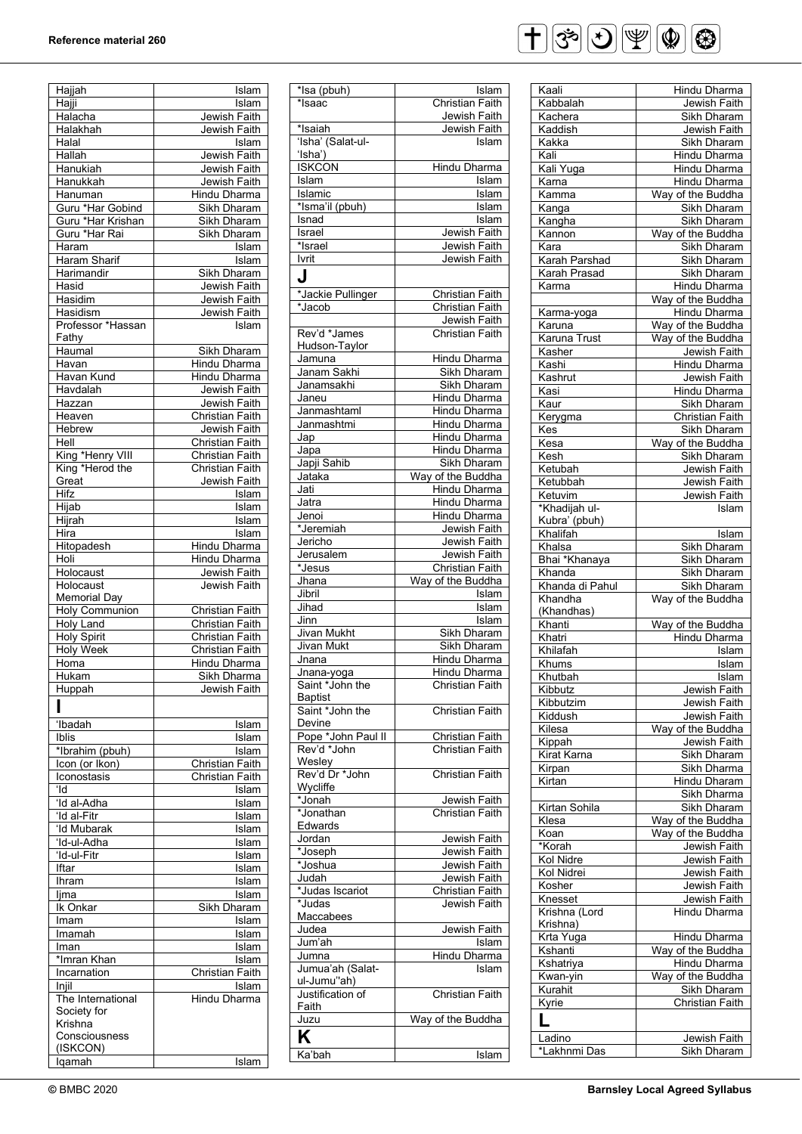### **Reference material 260**

| Hajjah                | Islam                  |
|-----------------------|------------------------|
| Hajji                 | Islam                  |
|                       |                        |
| Halacha               | Jewish Faith           |
| Halakhah              | Jewish Faith           |
| Halal                 | Islam                  |
|                       |                        |
| Hallah                | Jewish Faith           |
| Hanukiah              | Jewish Faith           |
|                       |                        |
| Hanukkah              | Jewish Faith           |
| Hanuman               | Hindu Dharma           |
| Guru *Har Gobind      | Sikh Dharam            |
|                       |                        |
| Guru *Har Krishan     | Sikh Dharam            |
| Guru *Har Rai         | Sikh Dharam            |
|                       |                        |
| Haram                 | Islam                  |
| Haram Sharif          | Islam                  |
|                       |                        |
| Harimandir            | Sikh Dharam            |
| Hasid                 | Jewish Faith           |
| Hasidim               | Jewish Faith           |
|                       |                        |
| Hasidism              | Jewish Faith           |
| Professor *Hassan     | Islam                  |
|                       |                        |
| Fathy                 |                        |
| Haumal                | Sikh Dharam            |
| Havan                 | Hindu Dharma           |
|                       |                        |
| Havan Kund            | <b>Hindu Dharma</b>    |
| Havdalah              | Jewish Faith           |
|                       |                        |
| Hazzan                | Jewish Faith           |
| Heaven                | <b>Christian Faith</b> |
| Hebrew                | Jewish Faith           |
|                       |                        |
| Hell                  | Christian Faith        |
| King *Henry VIII      | <b>Christian Faith</b> |
|                       |                        |
| King *Herod the       | <b>Christian Faith</b> |
| Great                 | Jewish Faith           |
| Hifz                  |                        |
|                       | Islam                  |
| Hijab                 | Islam                  |
| Hijrah                | Islam                  |
|                       |                        |
| Hira                  | Islam                  |
| Hitopadesh            | Hindu Dharma           |
|                       |                        |
| Holi                  | Hindu Dharma           |
| Holocaust             | Jewish Faith           |
|                       |                        |
| Holocaust             | Jewish Faith           |
| <b>Memorial Day</b>   |                        |
| <b>Holy Communion</b> | Christian Faith        |
|                       |                        |
| <b>Holy Land</b>      | Christian Faith        |
| <b>Holy Spirit</b>    | Christian Faith        |
|                       |                        |
| <b>Holy Week</b>      | Christian Faith        |
| Homa                  | Hindu Dharma           |
|                       | Sikh Dharma            |
| Hukam                 |                        |
| Huppah                | Jewish Faith           |
|                       |                        |
| ı                     |                        |
|                       |                        |
| 'Ibadah               | Islam                  |
| Iblis                 | Islam                  |
| *Ibrahim (pbuh)       | Islam                  |
|                       |                        |
| Icon (or Ikon)        | <b>Christian Faith</b> |
| Iconostasis           | Christian Faith        |
|                       |                        |
| ʻld                   | Islam                  |
| 'Id al-Adha           | Islam                  |
|                       |                        |
| 'Id al-Fitr           | Islam                  |
| 'Id Mubarak           | <u> Īslam</u>          |
| 'Id-ul-Adha           | Islam                  |
|                       |                        |
| 'Id-ul-Fitr           | Islam                  |
| Iftar                 | Islam                  |
|                       |                        |
| Ihram                 | Islam                  |
| ljma                  | Islam                  |
| Ik Onkar              | Sikh Dharam            |
|                       |                        |
| Imam                  | Islam                  |
| Imamah                | <u>Tslam</u>           |
|                       |                        |
| Iman                  | Islam                  |
|                       | Islam                  |
|                       |                        |
| *Imran Khan           |                        |
| Incarnation           | Christian Faith        |
| $Inji\bar{I}$         | Islam                  |
|                       |                        |
| The International     | Hindu Dharma           |
| Society for           |                        |
| Krishna               |                        |
|                       |                        |
| Consciousness         |                        |
|                       |                        |
| (ISKCON)<br>lqamah    | Islam                  |

| *Isa (pbuh)                 | Islam                       |
|-----------------------------|-----------------------------|
| *Isaac                      | Christian Faith             |
|                             | Jewish Faith                |
| *Isaiah                     | Jewish Faith                |
| 'Isha' (Salat-ul-           | Islam                       |
| $'$ Isha $'$ )              |                             |
| <b>ISKCON</b>               | Hindu Dharma                |
| Islam                       | Islam                       |
| Islamic                     | Islam                       |
| *Isma'il (pbuh)             | Islam                       |
| Isnad                       | Islam                       |
| Israel                      | Jewish Faith                |
| *Israel                     | Jewish Faith                |
| Ivrit                       | Jewish Faith                |
| J                           |                             |
|                             | <b>Christian Faith</b>      |
| *Jackie Pullinger<br>*Jacob | Christian Faith             |
|                             |                             |
|                             | Jewish Faith                |
| Rev'd *James                | <b>Christian Faith</b>      |
| Hudson-Taylor               |                             |
| Jamuna<br>Janam Sakhi       | Hindu Dharma<br>Sikh Dharam |
|                             |                             |
| Janamsakhi                  | Sikh Dharam                 |
| Janeu                       | Hindu Dharma                |
| Janmashtaml                 | Hindu Dharma                |
| Janmashtmi                  | Hindu Dharma                |
| Jap                         | Hindu Dharma                |
| Japa                        | Hindu Dharma                |
| Japji Sahib                 | Sikh Dharam                 |
| Jataka                      | Way of the Buddha           |
| Jati                        | Hindu Dharma                |
| Jatra                       | Hindu Dharma                |
| Jenoi                       | Hindu Dharma                |
| *Jeremiah                   | Jewish Faith                |
| Jericho                     | Jewish Faith                |
| Jerusalem                   | Jewish Faith                |
| *Jesus                      | <b>Christian Faith</b>      |
| Jhana                       | Way of the Buddha           |
| Jibril                      | Islam                       |
| Jihad                       | Islam                       |
| Jinn<br><b>Jivan Mukht</b>  | Islam<br>Sikh Dharam        |
|                             |                             |
|                             |                             |
| <b>Jivan Mukt</b>           | <b>Sikh Dharam</b>          |
| Jnana                       | Hindu Dharma                |
| Jnana-yoga                  | <b>Hindu Dharma</b>         |
| Saint *John the             | Christian Faith             |
| Baptist                     |                             |
| Saint *John the             | Christian Faith             |
| Devine                      |                             |
| Pope *John Paul II          | Christian Faith             |
| Rev'd *John                 | <b>Christian Faith</b>      |
| Wesley                      |                             |
| Rev'd Dr *John              | <b>Christian Faith</b>      |
| Wycliffe                    |                             |
| *Jonah                      | Jewish Faith                |
| *Jonathan                   | Christian Faith             |
| Edwards                     |                             |
| Jordan                      | Jewish Faith                |
| *Joseph                     | Jewish Faith                |
| *Joshua                     | Jewish Faith                |
| Judah                       | Jewish Faith                |
| *Judas Iscariot             | Christian Faith             |
| *Judas                      | Jewish Faith                |
| Maccabees                   |                             |
| Judea                       | Jewish Faith                |
| Jum'ah                      | Islam                       |
| Jumna                       | Hindu Dharma<br>Islam       |
| Jumua'ah (Salat-            |                             |
| ul-Jumu"ah)                 |                             |
| Justification of<br>Faith   | Christian Faith             |
|                             | Way of the Buddha           |
| Juzu                        |                             |
| Κ                           |                             |
| Ka'bah                      | Islam                       |



| Kaali                  |                             |
|------------------------|-----------------------------|
|                        | Hindu Dharma                |
| Kabbalah               | Jewish Faith                |
| Kachera                | Sikh Dharam                 |
| Kaddish                | Jewish Faith                |
| Kakka                  | Sikh Dharam                 |
|                        |                             |
| Kali                   | <b>Hindu Dharma</b>         |
| Kali Yuga              | <b>Hindu Dharma</b>         |
| Karna                  | Hindu Dharma                |
| <u>Kamma</u>           | Way of the Buddha           |
| Kanga                  | Sikh Dharam                 |
| Kangha                 | Sikh Dharam                 |
|                        |                             |
| Kannon                 | Way of the Buddha           |
| Kara                   | Sikh Dharam                 |
| Karah Parshad          | Sikh Dharam                 |
| Karah Prasad           | Sikh Dharam                 |
| Karma                  | Hindu Dharma                |
|                        | Way of the Buddha           |
|                        |                             |
| Karma-yoga             | Hindu Dharma                |
| Karuna                 | Way of the Buddha           |
| Karuna Trust           | Way of the Buddha           |
| Kasher                 | Jewish Faith                |
| Kashi                  | Hindu Dharma                |
| Kashrut                | Jewish Faith                |
|                        |                             |
| Kasi                   | Hindu Dharma                |
| Kaur                   | Sikh Dharam                 |
| Kerygma                | Christian Faith             |
| Kes                    | Sikh Dharam                 |
| Kesa                   | Way of the Buddha           |
| Kesh                   | Sikh Dharam                 |
|                        |                             |
| Ketubah                | Jewish Faith                |
| Ketubbah               | Jewish Faith                |
| Ketuvim                | Jewish Faith                |
| *Khadijah ul-          | Islam                       |
| Kubra' (pbuh)          |                             |
|                        |                             |
| Khalifah               | Islam                       |
| Khalsa                 | Sikh Dharam                 |
| Bhai *Khanaya          | Sikh Dharam                 |
| Khanda                 | Sikh Dharam                 |
| Khanda di Pahul        | Sikh Dharam                 |
| Khandha                | Way of the Buddha           |
| (Khandhas)             |                             |
|                        |                             |
| Khanti                 | Way of the Buddha           |
| Khatri                 | Hindu Dharma                |
| Khilafah               | Islam                       |
| Khums                  | Islam                       |
|                        |                             |
| Khutbah                |                             |
|                        | Islam                       |
| Kibbutz                | Jewish Faith                |
| Kibbutzim              | Jewish Faith                |
| Kiddush                | Jewish Faith                |
| Kilesa                 | Way of the Buddha           |
| Kippah                 | Jewish Faith                |
|                        |                             |
| Kirat Karna            | Sikh Dharam                 |
| Kirpan                 | Sikh Dharma                 |
| Kirtan                 | Hindu Dharam                |
|                        | Sikh Dharma                 |
| Kirtan Sohila          | Sikh Dharam                 |
| Klesa                  |                             |
|                        | Way of the Buddha           |
| Koan                   | Way of the Buddha           |
| *Korah                 | Jewish Faith                |
| Kol Nidre              | Jewish Faith                |
| Kol Nidrei             | Jewish Faith                |
| Kosher                 | Jewish Faith                |
| Knesset                |                             |
|                        | Jewish Faith                |
| Krishna (Lord          | Hindu Dharma                |
| Krishna)               |                             |
| Krta Yuga              | Hindu Dharma                |
| Kshanti                | Way of the Buddha           |
|                        |                             |
| Kshatriya              | Hindu Dharma                |
| Kwan-yin               | Way of the Buddha           |
| Kurahit                | Sikh Dharam                 |
| Kyrie                  | <b>Christian Faith</b>      |
|                        |                             |
| L                      |                             |
| Ladino<br>*Lakhnmi Das | Jewish Faith<br>Sikh Dharam |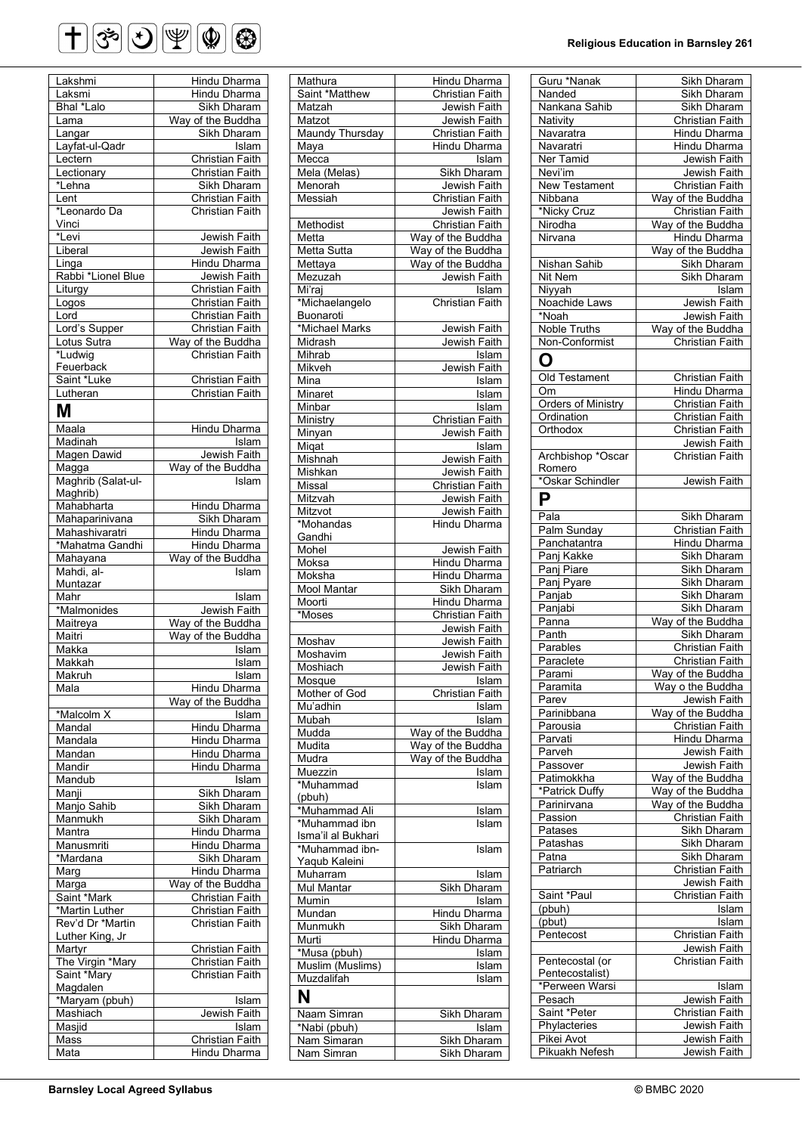# $\bigoplus \mathfrak{G} \bigotimes \mathfrak{P} \bigotimes \mathfrak{P} \bigotimes$

| Lakshmi            | Hindu Dharma                           |
|--------------------|----------------------------------------|
| Laksmi             | <b>Hindu Dharma</b>                    |
| Bhal *Lalo         | Sikh Dharam                            |
|                    |                                        |
| Lama               | Way of the Buddha                      |
| Langar             | Sikh Dharam                            |
| Layfat-ul-Qadr     | $ls\overline{lam}$                     |
|                    |                                        |
| Lectern            | Christian Faith                        |
| Lectionary         | Christian Faith                        |
| *Lehna             | Sikh Dharam                            |
|                    |                                        |
| Lent               | Christian Faith                        |
| *Leonardo Da       | Christian Faith                        |
| Vinci              |                                        |
|                    |                                        |
| *Levi              | Jewish Faith                           |
| Liberal            | Jewish Faith                           |
| Linga              | <b>Hindu Dharma</b>                    |
|                    |                                        |
| Rabbi *Lionel Blue | Jewish Faith                           |
| Liturgy            | Christian Faith                        |
| Logos              | Christian Faith                        |
| Lord               | <b>Christian Faith</b>                 |
|                    |                                        |
| Lord's Supper      | <b>Christian Faith</b>                 |
| Lotus Sutra        | Way of the Buddha                      |
|                    | <b>Christian Faith</b>                 |
| *Ludwig            |                                        |
| Feuerback          |                                        |
| Saint *Luke        | <b>Christian Faith</b>                 |
|                    | <b>Christian Faith</b>                 |
| Lutheran           |                                        |
| Μ                  |                                        |
|                    |                                        |
| Maala              | <b>Hindu Dharma</b>                    |
| Madinah            | Islam                                  |
|                    |                                        |
| Magen Dawid        | Jewish Faith                           |
| Magga              | Way of the Buddha                      |
|                    |                                        |
| Maghrib (Salat-ul- | Islam                                  |
| Maghrib)           |                                        |
| Mahabharta         | Hindu Dharma                           |
|                    |                                        |
| Mahaparinivana     | Sikh Dharam                            |
| Mahashivaratri     | Hindu Dharma                           |
| *Mahatma Gandhi    | Hindu Dharma                           |
|                    |                                        |
| Mahayana           | Way of the Buddha                      |
| Mahdi, al-         | Islam                                  |
| Muntazar           |                                        |
| Mahr               | Islam                                  |
|                    |                                        |
|                    |                                        |
| *Malmonides        |                                        |
|                    | Jewish Faith                           |
| Maitreya           | Way of the Buddha                      |
| Maitri             | Way of the Buddha                      |
| Makka              | Islam                                  |
|                    |                                        |
| Makkah             | Islam                                  |
| Makrun             | Islam                                  |
| Mala               |                                        |
|                    | Hindu Dharma                           |
|                    | Way of the Buddha                      |
| *Malcolm X         | Islam                                  |
|                    |                                        |
| Mandal             | <b>Hindu Dharma</b>                    |
| Mandala            | Hindu Dharma                           |
| Mandan             | Hindu Dharma                           |
| Mandir             | Hindu Dharma                           |
|                    |                                        |
| Mandub             | Islam                                  |
| Manji              | <b>Sikh Dharam</b>                     |
|                    |                                        |
| Manjo Sahib        | Sikh Dharam                            |
| Manmukh            | Sikh Dharam                            |
| Mantra             | Hindu Dharma                           |
|                    |                                        |
| Manusmriti         | <b>Hindu Dharma</b>                    |
| *Mardana           | Sikh Dharam                            |
| Marg               | Hindu Dharma                           |
|                    |                                        |
| Marga              | Way of the Buddha                      |
| Saint *Mark        | Christian Faith                        |
|                    | Christian Faith                        |
| *Martin Luther     | <b>Christian Faith</b>                 |
| Rev'd Dr *Martin   |                                        |
| Luther King, Jr    |                                        |
| Martyr             | Christian Faith                        |
|                    |                                        |
| The Virgin *Mary   | Christian Faith                        |
| Saint *Mary        | Christian Faith                        |
|                    |                                        |
| Magdalen           |                                        |
| *Maryam (pbuh)     | Islam                                  |
| Mashiach           | Jewish Faith                           |
|                    | Islam                                  |
| Masjid             |                                        |
| Mass<br>Mata       | Christian Faith<br><b>Hindu Dharma</b> |

| Mathura                   | Hindu Dharma                    |
|---------------------------|---------------------------------|
| Saint *Matthew            | <b>Christian Faith</b>          |
| Matzah                    | Jewish Faith                    |
| Matzot                    | Jewish Faith                    |
| <b>Maundy Thursday</b>    | Christian Faith                 |
| Maya                      | <b>Hindu Dharma</b>             |
| Mecca                     | Islam                           |
| Mela (Melas)              | Sikh Dharam                     |
| Menorah                   | Jewish Faith                    |
| Messiah                   | Christian Faith                 |
|                           | Jewish Faith                    |
| Methodist                 | <b>Christian Faith</b>          |
| Metta                     | Way of the Buddha               |
| <b>Metta Sutta</b>        | Way of the Buddha               |
| Mettaya                   | Way of the Buddha               |
| Mezuzah                   | Jewish Faith                    |
| Mi'raj                    | Islam                           |
| *Michaelangelo            | Christian Faith                 |
| Buonaroti                 |                                 |
| *Michael Marks            | Jewish Faith                    |
| Midrash                   | Jewish Faith                    |
| Mihrab                    | Islam                           |
| Mikveh                    | Jewish Faith                    |
| Mina                      | Islam<br>Islam                  |
| Minaret                   |                                 |
| Minbar                    | Islam<br><b>Christian Faith</b> |
| Ministry                  |                                 |
| Minyan<br>Miqat           | Jewish Faith<br>Islam           |
| Mishnah                   |                                 |
| Mishkan                   | Jewish Faith<br>Jewish Faith    |
| Missal                    | <b>Christian Faith</b>          |
| Mitzvah                   | Jewish Faith                    |
| Mitzvot                   | <b>Jewish Faith</b>             |
| *Mohandas                 | <b>Hindu Dharma</b>             |
| Gandhi                    |                                 |
| Mohel                     | Jewish Faith                    |
| Moksa                     | Hindu Dharma                    |
| Moksha                    | <b>Hindu Dharma</b>             |
| Mool Mantar               | Sikh Dharam                     |
| Moorti                    | Hindu Dharma                    |
| *Moses                    | <b>Christian Faith</b>          |
|                           | Jewish Faith                    |
| Moshav                    | Jewish Faith                    |
| Moshavim                  | Jewish Faith                    |
| Moshiach                  | Jewish Faith                    |
| Mosque                    | <u>Tslam</u>                    |
| Mother of God             | <b>Christian Faith</b>          |
| Mu'adhin                  | Islam                           |
| Mubah                     | Islam                           |
| Mudda                     | Way of the Buddha               |
| Mudita                    | Way of the Buddha               |
| Mudra                     | Way of the Buddha               |
| Muezzin                   | <u>Tslam</u>                    |
| *Muhammad                 | Islam                           |
| (pbuh)                    |                                 |
| *Muhammad Ali             | Islam                           |
| *Muhammad ibn             | Islam                           |
| Isma'il al Bukhari        |                                 |
| *Muhammad ibn-            | Islam                           |
| Yaqub Kaleini<br>Muharram |                                 |
| Mul Mantar                | Islam<br>Sikh Dharam            |
| Mumin                     | Islam                           |
| Mundan                    | Hindu Dharma                    |
| Munmukh                   | Sikh Dharam                     |
|                           |                                 |
|                           |                                 |
| Murti                     | Hindu Dharma                    |
| *Musa (pbuh)              | Islam                           |
| Muslim (Muslims)          | Islam<br>Islam                  |
| Muzdalifah                |                                 |
| N                         |                                 |
| Naam Simran               | Sikh Dharam                     |
| *Nabi (pbuh)              | Islam                           |
| Nam Simaran<br>Nam Simran | Sikh Dharam<br>Sikh Dharam      |

#### **Religious Education in Barnsley 261**

| Guru *Nanak               | Sikh Dharam            |
|---------------------------|------------------------|
|                           |                        |
| Nanded                    | Sikh Dharam            |
| Nankana Sahib             | Sikh Dharam            |
| Nativity                  | <b>Christian Faith</b> |
|                           |                        |
| Navaratra                 | Hindu Dharma           |
| Navaratri                 | <b>Hindu Dharma</b>    |
|                           |                        |
| Ner Tamid                 | Jewish Faith           |
| Nevi'im                   | Jewish Faith           |
| New Testament             | <b>Christian Faith</b> |
|                           |                        |
| Nibbana                   | Way of the Buddha      |
| *Nicky Cruz               | <b>Christian Faith</b> |
|                           |                        |
| Nirodha                   | Way of the Buddha      |
| Nirvana                   | Hindu Dharma           |
|                           |                        |
|                           | Way of the Buddha      |
| <b>Nishan Sahib</b>       | Sikh Dharam            |
| Nit Nem                   | Sikh Dharam            |
|                           |                        |
| Niyyah                    | Islam                  |
| Noachide Laws             | Jewish Faith           |
|                           |                        |
| *Noah                     | Jewish Faith           |
| <b>Noble Truths</b>       | Way of the Buddha      |
|                           |                        |
| Non-Conformist            | <b>Christian Faith</b> |
| O                         |                        |
|                           |                        |
| Old Testament             |                        |
|                           | Christian Faith        |
| Om                        | Hindu Dharma           |
| <b>Orders of Ministry</b> | <b>Christian Faith</b> |
|                           |                        |
| Ordination                | Christian Faith        |
| Orthodox                  | Christian Faith        |
|                           |                        |
|                           | Jewish Faith           |
| Archbishop *Oscar         | Christian Faith        |
| Romero                    |                        |
|                           |                        |
| *Oskar Schindler          | Jewish Faith           |
|                           |                        |
| Ρ                         |                        |
|                           |                        |
| Pala                      | Sikh Dharam            |
| Palm Sunday               | Christian Faith        |
|                           |                        |
| Panchatantra              | Hindu Dharma           |
| Panj Kakke                | Sikh Dharam            |
|                           |                        |
| Panj Piare                | Sikh Dharam            |
| Panj Pyare                | Sikh Dharam            |
|                           |                        |
| Panjab                    | Sikh Dharam            |
| Panjabi                   | Sikh Dharam            |
| Panna                     | Way of the Buddha      |
|                           |                        |
| Panth                     | Sikh Dharam            |
| Parables                  | <b>Christian Faith</b> |
|                           |                        |
| Paraclete                 | <b>Christian Faith</b> |
| Paramı                    | Way of the Buddha      |
|                           |                        |
| Paramita                  | Way o the Buddha       |
| Parev                     | Jewish Faith           |
|                           |                        |
| Parinibbana               | Way of the Buddha      |
| Parousia                  | Christian Faith        |
| Parvati                   | Hindu Dharma           |
|                           |                        |
| Parveh                    | Jewish Faith           |
| Passover                  | Jewish Faith           |
|                           |                        |
| Patimokkha                | Way of the Buddha      |
| *Patrick Duffy            | Way of the Buddha      |
|                           |                        |
| Parinirvana               | Way of the Buddha      |
| Passion                   | Christian Faith        |
| Patases                   | Sikh Dharam            |
|                           |                        |
| Patashas                  | Sikh Dharam            |
| Patna                     | Sikh Dharam            |
|                           |                        |
| Patriarch                 | Christian Faith        |
|                           | Jewish Faith           |
|                           |                        |
| Saint *Paul               | Christian Faith        |
| (pbuh)                    | Islam                  |
|                           |                        |
| (pbut)                    | Islam                  |
| Pentecost                 | Christian Faith        |
|                           |                        |
|                           | Jewish Faith           |
| Pentecostal (or           | Christian Faith        |
| Pentecostalist)           |                        |
|                           |                        |
| *Perween Warsi            | Islam                  |
| Pesach                    | Jewish Faith           |
|                           |                        |
| Saint *Peter              | Christian Faith        |
| Phylacteries              |                        |
|                           |                        |
|                           | Jewish Faith           |
| Pikei Avot                | Jewish Faith           |
| Pikuakh Nefesh            | Jewish Faith           |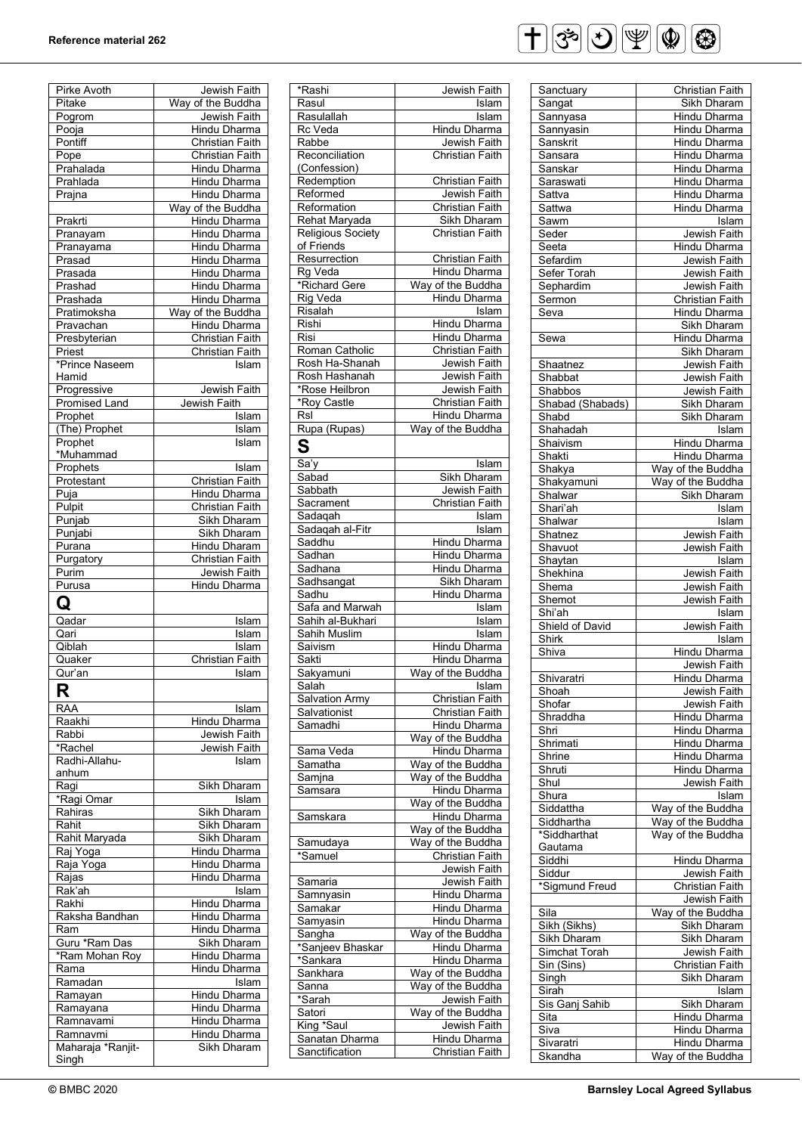| Pirke Avoth                | Jewish Faith           |
|----------------------------|------------------------|
| Pitake                     | Way of the Buddha      |
| Pogrom                     | Jewish Faith           |
| Pooja                      | Hindu Dharma           |
| Pontiff                    | <b>Christian Faith</b> |
|                            |                        |
| Pope                       | <b>Christian Faith</b> |
| Prahalada                  | <b>Hindu Dharma</b>    |
| Prahlada                   | <b>Hindu Dharma</b>    |
| Prajna                     | <b>Hindu Dharma</b>    |
|                            | Way of the Buddha      |
| Prakrti                    | <b>Hindu Dharma</b>    |
| Pranayam                   | Hindu Dharma           |
| Pranayama                  | Hindu Dharma           |
|                            |                        |
| Prasad                     | Hindu Dharma           |
| Prasada                    | <b>Hindu Dharma</b>    |
| Prashad                    | <b>Hindu Dharma</b>    |
| Prashada                   | <b>Hindu Dharma</b>    |
| Pratimoksha                | Way of the Buddha      |
| Pravachan                  | <b>Hindu Dharma</b>    |
| Presbyterian               | <b>Christian Faith</b> |
| Priest                     | <b>Christian Faith</b> |
| *Prince Naseem             | Islam                  |
|                            |                        |
| Hamid                      |                        |
| Progressive                | Jewish Faith           |
| <b>Promised Land</b>       | Jewish Faith           |
| Prophet                    | Islam                  |
| (The) Prophet              | Islam                  |
| Prophet                    | Islam                  |
| *Muhammad                  |                        |
| Prophets                   | Islam                  |
| Protestant                 | <b>Christian Faith</b> |
|                            |                        |
| Puja                       | Hindu Dharma           |
| Pulpit                     | <b>Christian Faith</b> |
| Punjab                     | Sikh Dharam            |
| Punjabi                    | Sikh Dharam            |
| Purana                     | Hindu Dharam           |
| Purgatory                  | <b>Christian Faith</b> |
| Purim                      | Jewish Faith           |
| Purusa                     |                        |
|                            |                        |
|                            | Hindu Dharma           |
| Q                          |                        |
|                            |                        |
| Qadar                      | Islam                  |
| Qari                       | Islam                  |
| Qiblah                     | Islam                  |
| Quaker                     | Christian Faith        |
| Qur'an                     | Islam                  |
|                            |                        |
| R                          |                        |
| <b>RAA</b>                 | Islam                  |
| Raakhi                     | <b>Hindu Dharma</b>    |
| Rabbi                      | Jewish Faith           |
| *Rachel                    |                        |
|                            | Jewish Faith           |
| Radhi-Allahu-              | Islam                  |
| anhum                      |                        |
| Ragi                       | Sikh Dharam            |
| *Ragi Omar                 | Islam                  |
| Rahiras                    | <b>Sikh Dharam</b>     |
| Rahit                      | Sikh Dharam            |
| Rahit Maryada              | Sikh Dharam            |
|                            | Hindu Dharma           |
| Raj Yoga                   |                        |
| Raja Yoga                  | Hindu Dharma           |
| Rajas                      | Hindu Dharma           |
| Rak'ah                     | <u>Tslam</u>           |
| Rakhi                      | Hindu Dharma           |
| Raksha Bandhan             | Hindu Dharma           |
| Ram                        | Hindu Dharma           |
| Guru *Ram Das              | Sikh Dharam            |
| *Ram Mohan Roy             | Hindu Dharma           |
|                            |                        |
| Rama                       | Hindu Dharma           |
| Ramadan                    | Islam                  |
| Ramayan                    | Hindu Dharma           |
| Ramayana                   | Hindu Dharma           |
| Ramnavami                  | Hindu Dharma           |
| Ramnavmi                   | Hindu Dharma           |
| Maharaja *Ranjit-<br>Singh | Sikh Dharam            |

| *Rashi                           | Jewish Faith                           |
|----------------------------------|----------------------------------------|
| Rasul                            | Islam                                  |
| Rasulallah                       | Islam                                  |
| Rc Veda                          | Hindu Dharma                           |
| Rabbe                            | Jewish Faith                           |
| Reconciliation                   | Christian Faith                        |
| (Confession)                     |                                        |
| Redemption                       | <b>Christian Faith</b>                 |
| Reformed                         | Jewish Faith                           |
| Reformation                      | <b>Christian Faith</b>                 |
| Rehat Maryada                    | Sikh Dharam                            |
| Religious Society                | <b>Christian Faith</b>                 |
| of Friends                       |                                        |
| Resurrection                     | <b>Christian Faith</b>                 |
| Rg Veda                          | <b>Hindu Dharma</b>                    |
| *Richard Gere                    | Way of the Buddha                      |
| <b>Rig Veda</b>                  | Hindu Dharma                           |
| Risalah                          | Islam                                  |
| Rishi                            | Hindu Dharma                           |
| Risi                             | Hindu Dharma                           |
| Roman Catholic                   | Christian Faith                        |
| Rosh Ha-Shanah                   | Jewish Faith                           |
| Rosh Hashanah                    | Jewish Faith                           |
| *Rose Heilbron                   | Jewish Faith                           |
| *Roy Castle                      | <b>Christian Faith</b>                 |
| Rsl                              | Hindu Dharma                           |
| Rupa (Rupas)                     | Way of the Buddha                      |
| c<br>Š                           |                                        |
| Sa'y                             | Islam                                  |
| Sabad                            | Sikh Dharam                            |
| Sabbath                          | Jewish Faith                           |
| Sacrament                        | Christian Faith                        |
| Sadaqah                          | Islam                                  |
| Sadaqah al-Fitr                  | Islam                                  |
| Saddhu                           | <b>Hindu Dharma</b>                    |
| Sadhan                           | Hindu Dharma                           |
| Sadhana                          | Hindu Dharma                           |
| Sadhsangat                       | Sikh Dharam                            |
| Sadhu                            | Hindu Dharma                           |
| Safa and Marwah                  | Islam                                  |
| Sahih al-Bukhari                 | <u>Tslam</u>                           |
|                                  |                                        |
|                                  |                                        |
| Sahih Muslim                     | Islam                                  |
| Saivism                          | Hindu Dharma                           |
| Sakti                            | Hindu Dharma                           |
| Sakyamuni                        | Way of the Buddha                      |
| Salah                            | Islam                                  |
| <b>Salvation Army</b>            | Christian Faith                        |
| Salvationist                     | <b>Christian Faith</b>                 |
| Samadhi                          | Hindu Dharma                           |
|                                  | Way of the Buddha                      |
| Sama Veda                        | <b>Hindu Dharma</b>                    |
| Samatha                          | Way of the Buddha                      |
| <u>Samjna</u>                    | Way of the Buddha                      |
| Samsara                          | <b>Hindu Dharma</b>                    |
|                                  | Way of the Buddha                      |
| Samskara                         | <b>Hindu Dharma</b>                    |
|                                  | Way of the Buddha                      |
| <u>Samudaya</u>                  | Way of the Buddha                      |
| *Samuel                          | Christian Faith                        |
|                                  | Jewish Faith                           |
| Samaria                          | Jewish Faith                           |
| Samnyasin                        | Hindu Dharma                           |
| Samakar                          | <b>Hindu Dharma</b>                    |
| Samyasin                         | Hindu Dharma                           |
| Sangha                           | Way of the Buddha                      |
| *Sanjeev Bhaskar                 | Hindu Dharma                           |
| *Sankara                         | <b>Hindu Dharma</b>                    |
| Sankhara                         | Way of the Buddha                      |
| Sanna                            | Way of the Buddha                      |
| *Sarah                           | Jewish Faith                           |
| Satori                           | Way of the Buddha                      |
| King *Saul                       | Jewish Faith                           |
| Sanatan Dharma<br>Sanctification | Hindu Dharma<br><b>Christian Faith</b> |



| Sanctuary                      | Christian Faith                   |
|--------------------------------|-----------------------------------|
| Sangat                         | Sikh Dharam                       |
| Sannyasa                       | Hindu Dharma                      |
|                                |                                   |
| Sannyasin                      | Hindu Dharma                      |
| Sanskrit                       | Hindu Dharma                      |
| Sansara                        | Hindu Dharma                      |
| Sanskar                        | Hindu Dharma                      |
|                                |                                   |
| Saraswati                      | Hindu Dharma                      |
| Sattva                         | Hindu Dharma                      |
| Sattwa                         | Hindu Dharma                      |
| Sawm                           | <b>Islam</b>                      |
|                                |                                   |
| Seder                          | Jewish Faith                      |
| Seeta                          | Hindu Dharma                      |
| Sefardim                       | Jewish Faith                      |
| Sefer Torah                    | Jewish Faith                      |
|                                | Jewish Faith                      |
| Sephardim                      |                                   |
| Sermon                         | <b>Christian Faith</b>            |
| Seva                           | Hindu Dharma                      |
|                                | Sikh Dharam                       |
| $\overline{\mathsf{S}}$ ewa    | Hindu Dharma                      |
|                                |                                   |
|                                | Sikh Dharam                       |
| Shaatnez                       | Jewish Faith                      |
| Shabbat                        | Jewish Faith                      |
| Shabbos                        | Jewish Faith                      |
|                                |                                   |
| Shabad (Shabads)               | Sikh Dharam                       |
| Shabd                          | Sikh Dharam                       |
| Shahadah                       | Islam                             |
| Shaivism                       | Hindu Dharma                      |
| Shakti                         | Hindu Dharma                      |
|                                |                                   |
| Shakya                         | Way of the Buddha                 |
| Shakyamuni                     | Way of the Buddha                 |
| Shalwar                        | <b>Sikh Dharam</b>                |
| Shari'ah                       | Islam                             |
|                                |                                   |
| Shalwar                        | Islam                             |
| Shatnez                        | Jewish Faith                      |
| Shavuot                        | Jewish Faith                      |
| $\overline{\mathsf{S}}$ haytan | $\overline{\mathsf{Is}}$ lslam    |
|                                |                                   |
| Shekhina                       | Jewish Faith                      |
| Shema                          | Jewish Faith                      |
| Shemot                         | Jewish Faith                      |
| Shi'ah                         | Islam                             |
| Shield of David                | Jewish Faith                      |
|                                |                                   |
| Shirk                          | Islam                             |
| Shiva                          | Hindu Dharma                      |
|                                | Jewish Faith                      |
| Shivaratri                     | Hindu Dharma                      |
| Shoah                          |                                   |
|                                | Jewish Faith                      |
| Shofar                         | Jewish Faith                      |
| Shraddha                       | Hindu Dharma                      |
| Shri                           | Hindu Dharma                      |
| Shrimati                       | Hindu Dharma                      |
|                                |                                   |
| Shrine                         | Hindu Dharma                      |
| Shruti                         | Hindu Dharma                      |
| Shul                           | Jewish Faith                      |
| Shura                          | Islam                             |
| Siddattha                      | Way of the Buddha                 |
|                                |                                   |
| Siddhartha                     | Way of the Buddha                 |
| *Siddharthat                   | Way of the Buddha                 |
| Gautama                        |                                   |
| Siddhi                         | Hindu Dharma                      |
|                                |                                   |
| Siddur                         | Jewish Faith                      |
| *Sigmund Freud                 | <b>Christian Faith</b>            |
|                                | Jewish Faith                      |
| Sila                           | Way of the Buddha                 |
|                                |                                   |
| Sikh (Sikhs)                   | Sikh Dharam                       |
| Sikh Dharam                    | Sikh Dharam                       |
|                                | Jewish Faith                      |
| Simchat Torah                  | Christian Faith                   |
|                                |                                   |
| Sin (Sins)                     |                                   |
| Singh                          | Sikh Dharam                       |
| Sirah                          | Islam                             |
| Sis Ganj Sahib                 | Sikh Dharam                       |
|                                |                                   |
| Sita                           | Hindu Dharma                      |
| Siva                           | Hindu Dharma                      |
| Sivaratri<br>Skandha           | Hindu Dharma<br>Way of the Buddha |